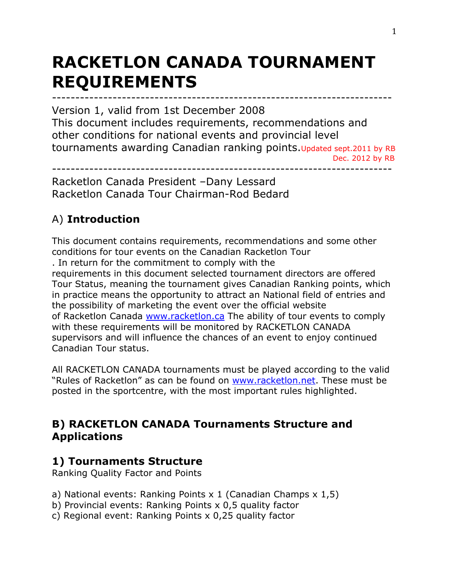# **RACKETLON CANADA TOURNAMENT REQUIREMENTS**

------------------------------------------------------------------------- Version 1, valid from 1st December 2008 This document includes requirements, recommendations and other conditions for national events and provincial level tournaments awarding Canadian ranking points.Updated sept.2011 by RB Dec. 2012 by RB

-------------------------------------------------------------------------

Racketlon Canada President –Dany Lessard Racketlon Canada Tour Chairman-Rod Bedard

# A) **Introduction**

This document contains requirements, recommendations and some other conditions for tour events on the Canadian Racketlon Tour . In return for the commitment to comply with the requirements in this document selected tournament directors are offered Tour Status, meaning the tournament gives Canadian Ranking points, which in practice means the opportunity to attract an National field of entries and the possibility of marketing the event over the official website of Racketlon Canada www.racketlon.ca The ability of tour events to comply with these requirements will be monitored by RACKETLON CANADA supervisors and will influence the chances of an event to enjoy continued Canadian Tour status.

All RACKETLON CANADA tournaments must be played according to the valid "Rules of Racketlon" as can be found on www.racketlon.net. These must be posted in the sportcentre, with the most important rules highlighted.

# **B) RACKETLON CANADA Tournaments Structure and Applications**

# **1) Tournaments Structure**

Ranking Quality Factor and Points

- a) National events: Ranking Points  $x$  1 (Canadian Champs  $x$  1,5)
- b) Provincial events: Ranking Points x 0,5 quality factor
- c) Regional event: Ranking Points x 0,25 quality factor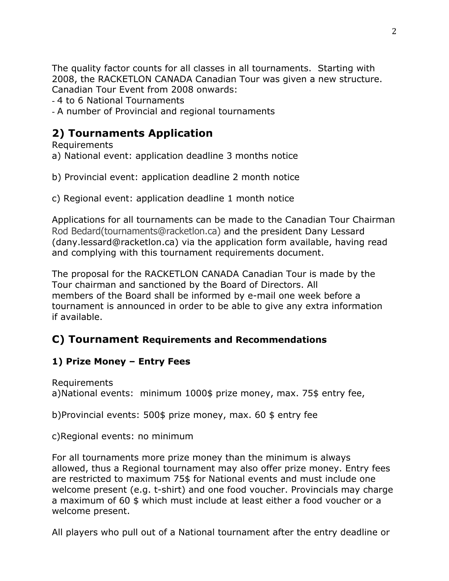The quality factor counts for all classes in all tournaments. Starting with 2008, the RACKETLON CANADA Canadian Tour was given a new structure. Canadian Tour Event from 2008 onwards:

- 4 to 6 National Tournaments
- A number of Provincial and regional tournaments

# **2) Tournaments Application**

Requirements

a) National event: application deadline 3 months notice

b) Provincial event: application deadline 2 month notice

c) Regional event: application deadline 1 month notice

Applications for all tournaments can be made to the Canadian Tour Chairman Rod Bedard(tournaments@racketlon.ca) and the president Dany Lessard (dany.lessard@racketlon.ca) via the application form available, having read and complying with this tournament requirements document.

The proposal for the RACKETLON CANADA Canadian Tour is made by the Tour chairman and sanctioned by the Board of Directors. All members of the Board shall be informed by e-mail one week before a tournament is announced in order to be able to give any extra information if available.

# **C) Tournament Requirements and Recommendations**

# **1) Prize Money – Entry Fees**

Requirements a)National events: minimum 1000\$ prize money, max. 75\$ entry fee,

b)Provincial events: 500\$ prize money, max. 60 \$ entry fee

c)Regional events: no minimum

For all tournaments more prize money than the minimum is always allowed, thus a Regional tournament may also offer prize money. Entry fees are restricted to maximum 75\$ for National events and must include one welcome present (e.g. t-shirt) and one food voucher. Provincials may charge a maximum of 60 \$ which must include at least either a food voucher or a welcome present.

All players who pull out of a National tournament after the entry deadline or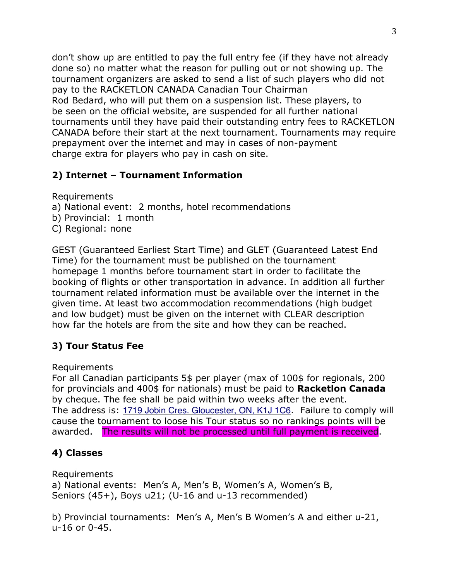don't show up are entitled to pay the full entry fee (if they have not already done so) no matter what the reason for pulling out or not showing up. The tournament organizers are asked to send a list of such players who did not pay to the RACKETLON CANADA Canadian Tour Chairman Rod Bedard, who will put them on a suspension list. These players, to be seen on the official website, are suspended for all further national tournaments until they have paid their outstanding entry fees to RACKETLON CANADA before their start at the next tournament. Tournaments may require prepayment over the internet and may in cases of non-payment charge extra for players who pay in cash on site.

### **2) Internet – Tournament Information**

Requirements

- a) National event: 2 months, hotel recommendations
- b) Provincial: 1 month
- C) Regional: none

GEST (Guaranteed Earliest Start Time) and GLET (Guaranteed Latest End Time) for the tournament must be published on the tournament homepage 1 months before tournament start in order to facilitate the booking of flights or other transportation in advance. In addition all further tournament related information must be available over the internet in the given time. At least two accommodation recommendations (high budget and low budget) must be given on the internet with CLEAR description how far the hotels are from the site and how they can be reached.

### **3) Tour Status Fee**

Requirements

For all Canadian participants 5\$ per player (max of 100\$ for regionals, 200 for provincials and 400\$ for nationals) must be paid to **Racketlon Canada** by cheque. The fee shall be paid within two weeks after the event. The address is: 1719 Jobin Cres. Gloucester, ON, K1J 1C6. Failure to comply will cause the tournament to loose his Tour status so no rankings points will be awarded. The results will not be processed until full payment is received.

# **4) Classes**

Requirements

a) National events: Men's A, Men's B, Women's A, Women's B, Seniors (45+), Boys u21; (U-16 and u-13 recommended)

b) Provincial tournaments: Men's A, Men's B Women's A and either u-21, u-16 or 0-45.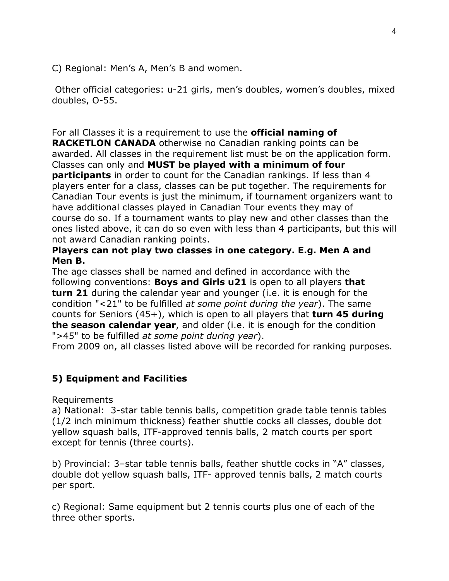C) Regional: Men's A, Men's B and women.

 Other official categories: u-21 girls, men's doubles, women's doubles, mixed doubles, O-55.

#### For all Classes it is a requirement to use the **official naming of**

**RACKETLON CANADA** otherwise no Canadian ranking points can be awarded. All classes in the requirement list must be on the application form. Classes can only and **MUST be played with a minimum of four participants** in order to count for the Canadian rankings. If less than 4 players enter for a class, classes can be put together. The requirements for Canadian Tour events is just the minimum, if tournament organizers want to have additional classes played in Canadian Tour events they may of course do so. If a tournament wants to play new and other classes than the ones listed above, it can do so even with less than 4 participants, but this will not award Canadian ranking points.

#### **Players can not play two classes in one category. E.g. Men A and Men B.**

The age classes shall be named and defined in accordance with the following conventions: **Boys and Girls u21** is open to all players **that turn 21** during the calendar year and younger (i.e. it is enough for the condition "<21" to be fulfilled *at some point during the year*). The same counts for Seniors (45+), which is open to all players that **turn 45 during the season calendar year**, and older (i.e. it is enough for the condition ">45" to be fulfilled *at some point during year*).

From 2009 on, all classes listed above will be recorded for ranking purposes.

### **5) Equipment and Facilities**

Requirements

a) National: 3-star table tennis balls, competition grade table tennis tables (1/2 inch minimum thickness) feather shuttle cocks all classes, double dot yellow squash balls, ITF-approved tennis balls, 2 match courts per sport except for tennis (three courts).

b) Provincial: 3–star table tennis balls, feather shuttle cocks in "A" classes, double dot yellow squash balls, ITF- approved tennis balls, 2 match courts per sport.

c) Regional: Same equipment but 2 tennis courts plus one of each of the three other sports.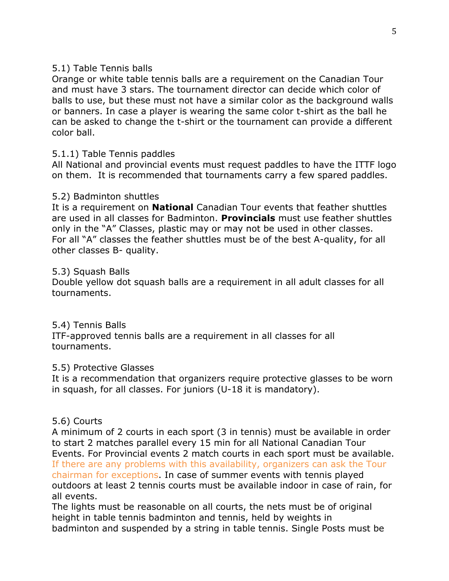#### 5.1) Table Tennis balls

Orange or white table tennis balls are a requirement on the Canadian Tour and must have 3 stars. The tournament director can decide which color of balls to use, but these must not have a similar color as the background walls or banners. In case a player is wearing the same color t-shirt as the ball he can be asked to change the t-shirt or the tournament can provide a different color ball.

#### 5.1.1) Table Tennis paddles

All National and provincial events must request paddles to have the ITTF logo on them. It is recommended that tournaments carry a few spared paddles.

#### 5.2) Badminton shuttles

It is a requirement on **National** Canadian Tour events that feather shuttles are used in all classes for Badminton. **Provincials** must use feather shuttles only in the "A" Classes, plastic may or may not be used in other classes. For all "A" classes the feather shuttles must be of the best A-quality, for all other classes B- quality.

#### 5.3) Squash Balls

Double yellow dot squash balls are a requirement in all adult classes for all tournaments.

#### 5.4) Tennis Balls

ITF-approved tennis balls are a requirement in all classes for all tournaments.

#### 5.5) Protective Glasses

It is a recommendation that organizers require protective glasses to be worn in squash, for all classes. For juniors (U-18 it is mandatory).

#### 5.6) Courts

A minimum of 2 courts in each sport (3 in tennis) must be available in order to start 2 matches parallel every 15 min for all National Canadian Tour Events. For Provincial events 2 match courts in each sport must be available. If there are any problems with this availability, organizers can ask the Tour chairman for exceptions. In case of summer events with tennis played outdoors at least 2 tennis courts must be available indoor in case of rain, for all events.

The lights must be reasonable on all courts, the nets must be of original height in table tennis badminton and tennis, held by weights in badminton and suspended by a string in table tennis. Single Posts must be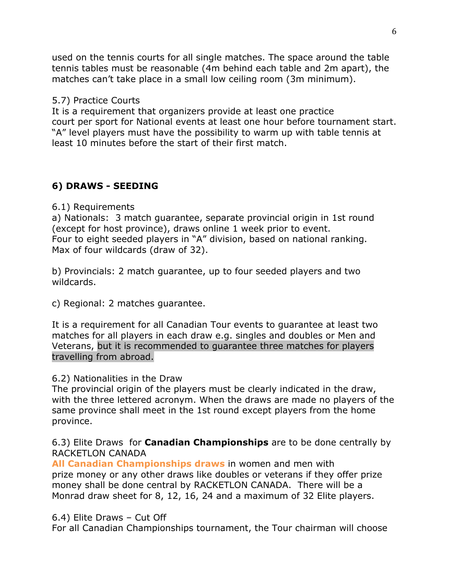used on the tennis courts for all single matches. The space around the table tennis tables must be reasonable (4m behind each table and 2m apart), the matches can't take place in a small low ceiling room (3m minimum).

#### 5.7) Practice Courts

It is a requirement that organizers provide at least one practice court per sport for National events at least one hour before tournament start. "A" level players must have the possibility to warm up with table tennis at least 10 minutes before the start of their first match.

### **6) DRAWS - SEEDING**

6.1) Requirements

a) Nationals: 3 match guarantee, separate provincial origin in 1st round (except for host province), draws online 1 week prior to event. Four to eight seeded players in "A" division, based on national ranking. Max of four wildcards (draw of 32).

b) Provincials: 2 match guarantee, up to four seeded players and two wildcards.

c) Regional: 2 matches guarantee.

It is a requirement for all Canadian Tour events to guarantee at least two matches for all players in each draw e.g. singles and doubles or Men and Veterans, but it is recommended to guarantee three matches for players travelling from abroad.

#### 6.2) Nationalities in the Draw

The provincial origin of the players must be clearly indicated in the draw, with the three lettered acronym. When the draws are made no players of the same province shall meet in the 1st round except players from the home province.

6.3) Elite Draws for **Canadian Championships** are to be done centrally by RACKETI ON CANADA

**All Canadian Championships draws** in women and men with prize money or any other draws like doubles or veterans if they offer prize money shall be done central by RACKETLON CANADA. There will be a Monrad draw sheet for 8, 12, 16, 24 and a maximum of 32 Elite players.

#### 6.4) Elite Draws – Cut Off

For all Canadian Championships tournament, the Tour chairman will choose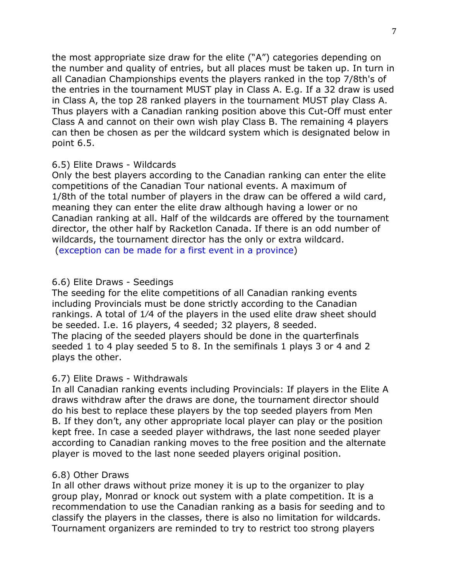the most appropriate size draw for the elite ("A") categories depending on the number and quality of entries, but all places must be taken up. In turn in all Canadian Championships events the players ranked in the top 7/8th's of the entries in the tournament MUST play in Class A. E.g. If a 32 draw is used in Class A, the top 28 ranked players in the tournament MUST play Class A. Thus players with a Canadian ranking position above this Cut-Off must enter Class A and cannot on their own wish play Class B. The remaining 4 players can then be chosen as per the wildcard system which is designated below in point 6.5.

#### 6.5) Elite Draws - Wildcards

Only the best players according to the Canadian ranking can enter the elite competitions of the Canadian Tour national events. A maximum of 1/8th of the total number of players in the draw can be offered a wild card, meaning they can enter the elite draw although having a lower or no Canadian ranking at all. Half of the wildcards are offered by the tournament director, the other half by Racketlon Canada. If there is an odd number of wildcards, the tournament director has the only or extra wildcard. (exception can be made for a first event in a province)

#### 6.6) Elite Draws - Seedings

The seeding for the elite competitions of all Canadian ranking events including Provincials must be done strictly according to the Canadian rankings. A total of 1⁄4 of the players in the used elite draw sheet should be seeded. I.e. 16 players, 4 seeded; 32 players, 8 seeded. The placing of the seeded players should be done in the quarterfinals seeded 1 to 4 play seeded 5 to 8. In the semifinals 1 plays 3 or 4 and 2 plays the other.

#### 6.7) Elite Draws - Withdrawals

In all Canadian ranking events including Provincials: If players in the Elite A draws withdraw after the draws are done, the tournament director should do his best to replace these players by the top seeded players from Men B. If they don't, any other appropriate local player can play or the position kept free. In case a seeded player withdraws, the last none seeded player according to Canadian ranking moves to the free position and the alternate player is moved to the last none seeded players original position.

#### 6.8) Other Draws

In all other draws without prize money it is up to the organizer to play group play, Monrad or knock out system with a plate competition. It is a recommendation to use the Canadian ranking as a basis for seeding and to classify the players in the classes, there is also no limitation for wildcards. Tournament organizers are reminded to try to restrict too strong players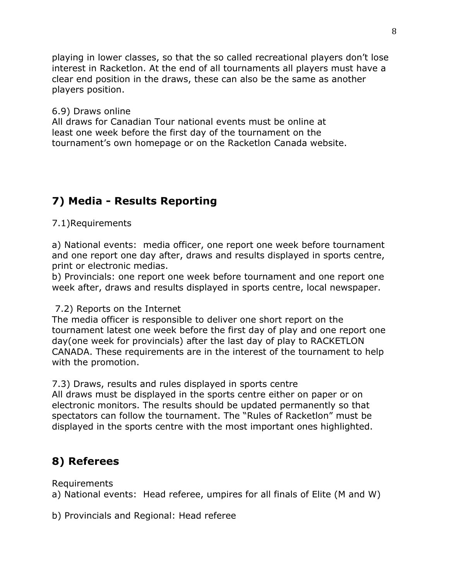playing in lower classes, so that the so called recreational players don't lose interest in Racketlon. At the end of all tournaments all players must have a clear end position in the draws, these can also be the same as another players position.

#### 6.9) Draws online

All draws for Canadian Tour national events must be online at least one week before the first day of the tournament on the tournament's own homepage or on the Racketlon Canada website.

# **7) Media - Results Reporting**

#### 7.1)Requirements

a) National events: media officer, one report one week before tournament and one report one day after, draws and results displayed in sports centre, print or electronic medias.

b) Provincials: one report one week before tournament and one report one week after, draws and results displayed in sports centre, local newspaper.

7.2) Reports on the Internet

The media officer is responsible to deliver one short report on the tournament latest one week before the first day of play and one report one day(one week for provincials) after the last day of play to RACKETLON CANADA. These requirements are in the interest of the tournament to help with the promotion.

7.3) Draws, results and rules displayed in sports centre

All draws must be displayed in the sports centre either on paper or on electronic monitors. The results should be updated permanently so that spectators can follow the tournament. The "Rules of Racketlon" must be displayed in the sports centre with the most important ones highlighted.

# **8) Referees**

Requirements

a) National events: Head referee, umpires for all finals of Elite (M and W)

b) Provincials and Regional: Head referee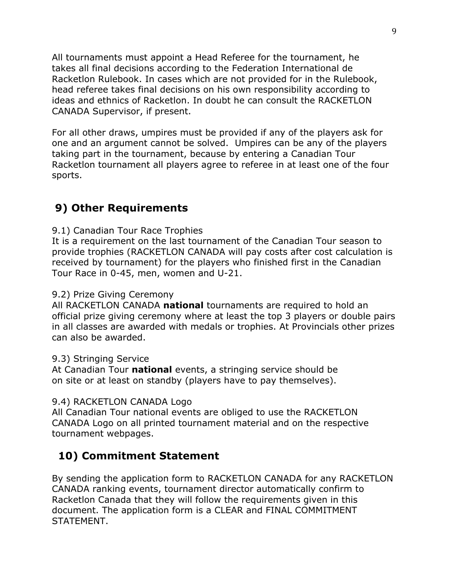All tournaments must appoint a Head Referee for the tournament, he takes all final decisions according to the Federation International de Racketlon Rulebook. In cases which are not provided for in the Rulebook, head referee takes final decisions on his own responsibility according to ideas and ethnics of Racketlon. In doubt he can consult the RACKETLON CANADA Supervisor, if present.

For all other draws, umpires must be provided if any of the players ask for one and an argument cannot be solved. Umpires can be any of the players taking part in the tournament, because by entering a Canadian Tour Racketlon tournament all players agree to referee in at least one of the four sports.

# **9) Other Requirements**

9.1) Canadian Tour Race Trophies

It is a requirement on the last tournament of the Canadian Tour season to provide trophies (RACKETLON CANADA will pay costs after cost calculation is received by tournament) for the players who finished first in the Canadian Tour Race in 0-45, men, women and U-21.

#### 9.2) Prize Giving Ceremony

All RACKETLON CANADA **national** tournaments are required to hold an official prize giving ceremony where at least the top 3 players or double pairs in all classes are awarded with medals or trophies. At Provincials other prizes can also be awarded.

#### 9.3) Stringing Service

At Canadian Tour **national** events, a stringing service should be on site or at least on standby (players have to pay themselves).

#### 9.4) RACKETLON CANADA Logo

All Canadian Tour national events are obliged to use the RACKETLON CANADA Logo on all printed tournament material and on the respective tournament webpages.

# **10) Commitment Statement**

By sending the application form to RACKETLON CANADA for any RACKETLON CANADA ranking events, tournament director automatically confirm to Racketlon Canada that they will follow the requirements given in this document. The application form is a CLEAR and FINAL COMMITMENT STATEMENT.